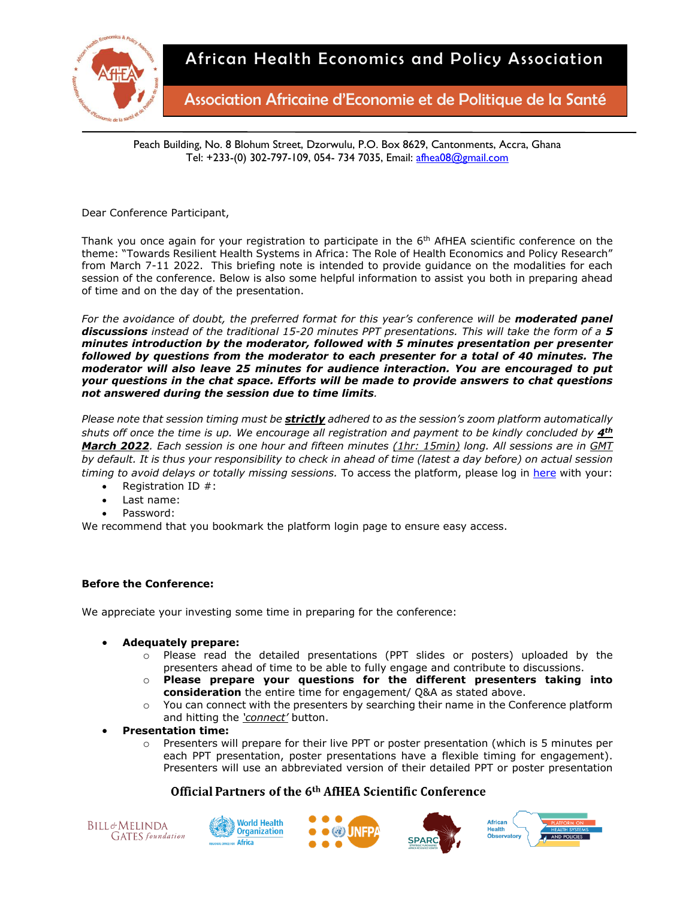

Association Africaine d'Economie et de Politique de la Santé

Peach Building, No. 8 Blohum Street, Dzorwulu, P.O. Box 8629, Cantonments, Accra, Ghana Tel: +233-(0) 302-797-109, 054- 734 7035, Email: [afhea08@gmail.com](mailto:afhea08@gmail.com)

Dear Conference Participant,

Thank you once again for your registration to participate in the  $6<sup>th</sup>$  AfHEA scientific conference on the theme: "Towards Resilient Health Systems in Africa: The Role of Health Economics and Policy Research" from March 7-11 2022. This briefing note is intended to provide guidance on the modalities for each session of the conference. Below is also some helpful information to assist you both in preparing ahead of time and on the day of the presentation.

*For the avoidance of doubt, the preferred format for this year's conference will be moderated panel discussions instead of the traditional 15-20 minutes PPT presentations. This will take the form of a 5 minutes introduction by the moderator, followed with 5 minutes presentation per presenter followed by questions from the moderator to each presenter for a total of 40 minutes. The moderator will also leave 25 minutes for audience interaction. You are encouraged to put your questions in the chat space. Efforts will be made to provide answers to chat questions not answered during the session due to time limits.* 

*Please note that session timing must be strictly adhered to as the session's zoom platform automatically shuts off once the time is up. We encourage all registration and payment to be kindly concluded by 4th March 2022. Each session is one hour and fifteen minutes (1hr: 15min) long. All sessions are in GMT by default. It is thus your responsibility to check in ahead of time (latest a day before) on actual session timing to avoid delays or totally missing sessions.* To access the platform, please log in [here](https://afhea.confex.com/afhea/2022/meetingapp.cgi?clearcache=1) with your:

- Registration ID #:
- Last name:
- Password:

We recommend that you bookmark the platform login page to ensure easy access.

## **Before the Conference:**

We appreciate your investing some time in preparing for the conference:

- **Adequately prepare:**
	- o Please read the detailed presentations (PPT slides or posters) uploaded by the presenters ahead of time to be able to fully engage and contribute to discussions.
	- o **Please prepare your questions for the different presenters taking into consideration** the entire time for engagement/ Q&A as stated above.
	- o You can connect with the presenters by searching their name in the Conference platform and hitting the *'connect'* button.
- **Presentation time:**
	- o Presenters will prepare for their live PPT or poster presentation (which is 5 minutes per each PPT presentation, poster presentations have a flexible timing for engagement). Presenters will use an abbreviated version of their detailed PPT or poster presentation









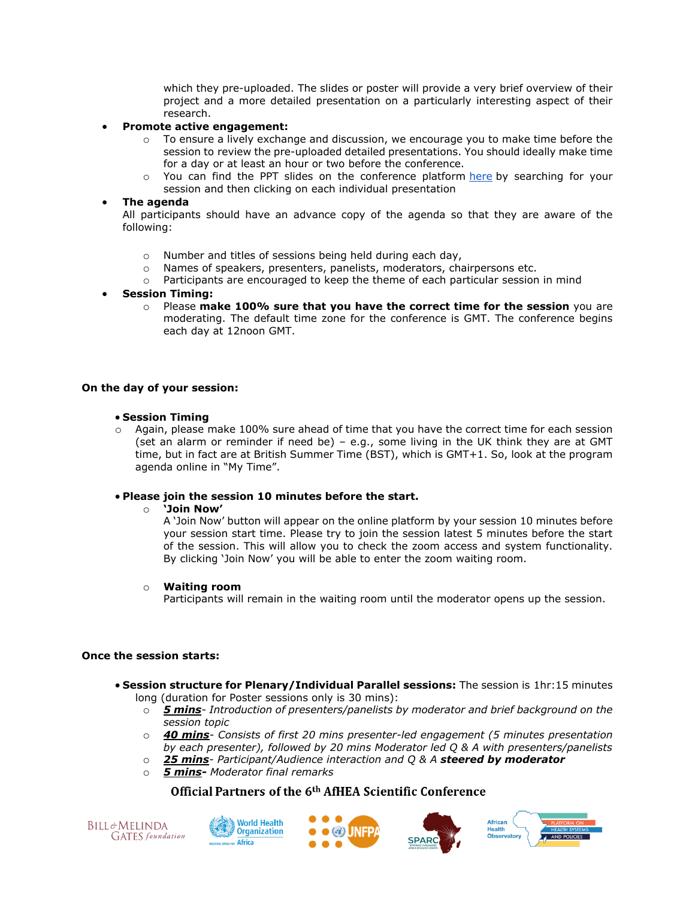which they pre-uploaded. The slides or poster will provide a very brief overview of their project and a more detailed presentation on a particularly interesting aspect of their research.

#### • **Promote active engagement:**

- $\circ$  To ensure a lively exchange and discussion, we encourage you to make time before the session to review the pre-uploaded detailed presentations. You should ideally make time for a day or at least an hour or two before the conference.
- $\circ$  You can find the PPT slides on the conference platform [here](https://afhea.confex.com/afhea/2022/meetingapp.cgi/Home/0) by searching for your session and then clicking on each individual presentation

#### • **The agenda**

All participants should have an advance copy of the agenda so that they are aware of the following:

- o Number and titles of sessions being held during each day,
- o Names of speakers, presenters, panelists, moderators, chairpersons etc.
- o Participants are encouraged to keep the theme of each particular session in mind

#### • **Session Timing:**

o Please **make 100% sure that you have the correct time for the session** you are moderating. The default time zone for the conference is GMT. The conference begins each day at 12noon GMT.

### **On the day of your session:**

#### • **Session Timing**

o Again, please make 100% sure ahead of time that you have the correct time for each session (set an alarm or reminder if need be) – e.g., some living in the UK think they are at GMT time, but in fact are at British Summer Time (BST), which is GMT+1. So, look at the program agenda online in "My Time".

# • **Please join the session 10 minutes before the start.**

#### o **'Join Now'**

A 'Join Now' button will appear on the online platform by your session 10 minutes before your session start time. Please try to join the session latest 5 minutes before the start of the session. This will allow you to check the zoom access and system functionality. By clicking 'Join Now' you will be able to enter the zoom waiting room.

#### o **Waiting room**

Participants will remain in the waiting room until the moderator opens up the session.

#### **Once the session starts:**

- **Session structure for Plenary/Individual Parallel sessions:** The session is 1hr:15 minutes long (duration for Poster sessions only is 30 mins):
	- o *5 mins- Introduction of presenters/panelists by moderator and brief background on the session topic*
	- o *40 mins- Consists of first 20 mins presenter-led engagement (5 minutes presentation by each presenter), followed by 20 mins Moderator led Q & A with presenters/panelists*
	- o *25 mins- Participant/Audience interaction and Q & A steered by moderator*
	- o *5 mins- Moderator final remarks*









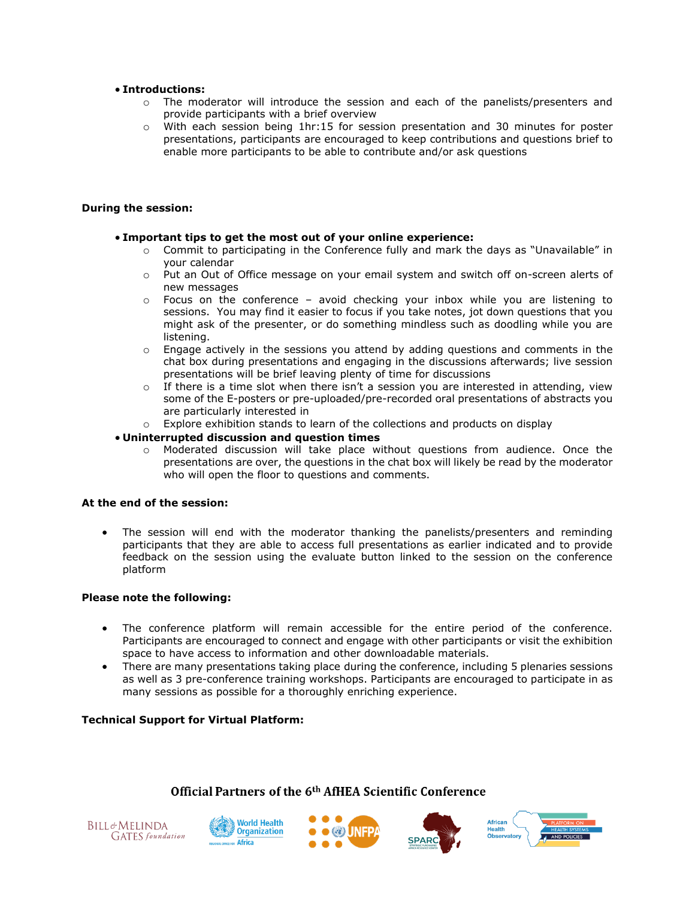### • **Introductions:**

- o The moderator will introduce the session and each of the panelists/presenters and provide participants with a brief overview
- o With each session being 1hr:15 for session presentation and 30 minutes for poster presentations, participants are encouraged to keep contributions and questions brief to enable more participants to be able to contribute and/or ask questions

### **During the session:**

## • **Important tips to get the most out of your online experience:**

- $\circ$  Commit to participating in the Conference fully and mark the days as "Unavailable" in your calendar
- o Put an Out of Office message on your email system and switch off on-screen alerts of new messages
- $\circ$  Focus on the conference avoid checking your inbox while you are listening to sessions. You may find it easier to focus if you take notes, jot down questions that you might ask of the presenter, or do something mindless such as doodling while you are listening.
- $\circ$  Engage actively in the sessions you attend by adding questions and comments in the chat box during presentations and engaging in the discussions afterwards; live session presentations will be brief leaving plenty of time for discussions
- $\circ$  If there is a time slot when there isn't a session you are interested in attending, view some of the E-posters or pre-uploaded/pre-recorded oral presentations of abstracts you are particularly interested in
- o Explore exhibition stands to learn of the collections and products on display

### • **Uninterrupted discussion and question times**

o Moderated discussion will take place without questions from audience. Once the presentations are over, the questions in the chat box will likely be read by the moderator who will open the floor to questions and comments.

## **At the end of the session:**

• The session will end with the moderator thanking the panelists/presenters and reminding participants that they are able to access full presentations as earlier indicated and to provide feedback on the session using the evaluate button linked to the session on the conference platform

## **Please note the following:**

- The conference platform will remain accessible for the entire period of the conference. Participants are encouraged to connect and engage with other participants or visit the exhibition space to have access to information and other downloadable materials.
- There are many presentations taking place during the conference, including 5 plenaries sessions as well as 3 pre-conference training workshops. Participants are encouraged to participate in as many sessions as possible for a thoroughly enriching experience.

## **Technical Support for Virtual Platform:**